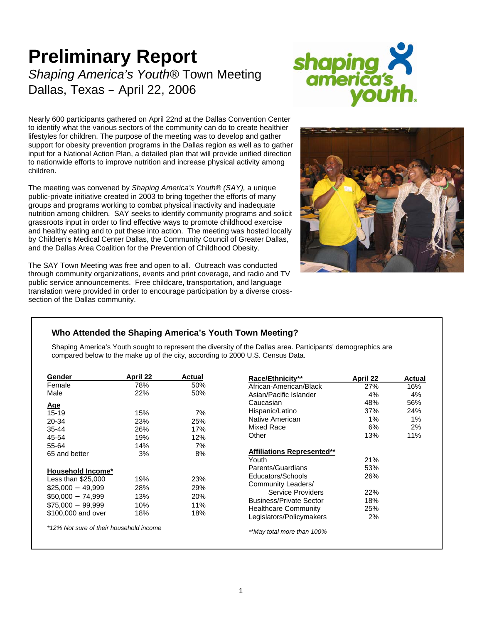# **Preliminary Report**  *Shaping America's Youth®* Town Meeting Dallas, Texas – April 22, 2006



Nearly 600 participants gathered on April 22nd at the Dallas Convention Center to identify what the various sectors of the community can do to create healthier lifestyles for children. The purpose of the meeting was to develop and gather support for obesity prevention programs in the Dallas region as well as to gather input for a National Action Plan, a detailed plan that will provide unified direction to nationwide efforts to improve nutrition and increase physical activity among children.

The meeting was convened by *Shaping America's Youth® (SAY),* a unique public-private initiative created in 2003 to bring together the efforts of many groups and programs working to combat physical inactivity and inadequate nutrition among children. SAY seeks to identify community programs and solicit grassroots input in order to find effective ways to promote childhood exercise and healthy eating and to put these into action. The meeting was hosted locally by Children's Medical Center Dallas, the Community Council of Greater Dallas, and the Dallas Area Coalition for the Prevention of Childhood Obesity.



The SAY Town Meeting was free and open to all. Outreach was conducted through community organizations, events and print coverage, and radio and TV public service announcements. Free childcare, transportation, and language translation were provided in order to encourage participation by a diverse crosssection of the Dallas community.

# **Who Attended the Shaping America's Youth Town Meeting?**

Shaping America's Youth sought to represent the diversity of the Dallas area. Participants' demographics are compared below to the make up of the city, according to 2000 U.S. Census Data.

| Gender                                  | <b>April 22</b> | Actual |  |
|-----------------------------------------|-----------------|--------|--|
| Female                                  | 78%             | 50%    |  |
| Male                                    | 22%             | 50%    |  |
| Age                                     |                 |        |  |
| $15 - 19$                               | 15%             | 7%     |  |
| 20-34                                   | 23%             | 25%    |  |
| 35-44                                   | 26%             | 17%    |  |
| 45-54                                   | 19%             | 12%    |  |
| 55-64                                   | 14%             | 7%     |  |
| 65 and better                           | 3%              | 8%     |  |
| <b>Household Income*</b>                |                 |        |  |
| Less than \$25,000                      | 19%             | 23%    |  |
| $$25,000 - 49,999$                      | 28%             | 29%    |  |
| $$50,000 - 74,999$                      | 13%             | 20%    |  |
| $$75,000 - 99,999$                      | 10%             | 11%    |  |
| \$100,000 and over                      | 18%             | 18%    |  |
| *12% Not sure of their household income |                 |        |  |

| <b>Race/Ethnicity**</b>           | April 22 | <b>Actual</b> |
|-----------------------------------|----------|---------------|
| African-American/Black            | 27%      | 16%           |
| Asian/Pacific Islander            | 4%       | 4%            |
| Caucasian                         | 48%      | 56%           |
| Hispanic/Latino                   | 37%      | 24%           |
| Native American                   | 1%       | 1%            |
| Mixed Race                        | 6%       | 2%            |
| Other                             | 13%      | 11%           |
| <b>Affiliations Represented**</b> |          |               |
| Youth                             | 21%      |               |
| Parents/Guardians                 | 53%      |               |
| Educators/Schools                 | 26%      |               |
| Community Leaders/                |          |               |
| <b>Service Providers</b>          | 22%      |               |
| <b>Business/Private Sector</b>    | 18%      |               |
| <b>Healthcare Community</b>       | 25%      |               |
| Legislators/Policymakers          | 2%       |               |
| **May total more than 100%        |          |               |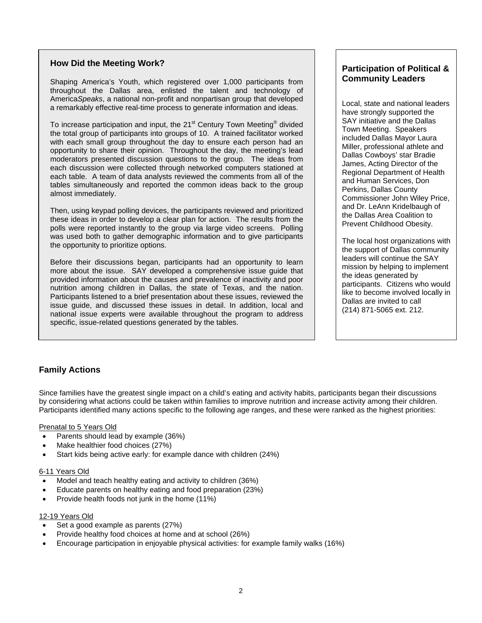## **How Did the Meeting Work?**

Shaping America's Youth, which registered over 1,000 participants from throughout the Dallas area, enlisted the talent and technology of America*Speaks*, a national non-profit and nonpartisan group that developed a remarkably effective real-time process to generate information and ideas.

To increase participation and input, the 21<sup>st</sup> Century Town Meeting® divided the total group of participants into groups of 10. A trained facilitator worked with each small group throughout the day to ensure each person had an opportunity to share their opinion. Throughout the day, the meeting's lead moderators presented discussion questions to the group. The ideas from each discussion were collected through networked computers stationed at each table. A team of data analysts reviewed the comments from all of the tables simultaneously and reported the common ideas back to the group almost immediately.

Then, using keypad polling devices, the participants reviewed and prioritized these ideas in order to develop a clear plan for action. The results from the polls were reported instantly to the group via large video screens. Polling was used both to gather demographic information and to give participants the opportunity to prioritize options.

Before their discussions began, participants had an opportunity to learn more about the issue. SAY developed a comprehensive issue guide that provided information about the causes and prevalence of inactivity and poor nutrition among children in Dallas, the state of Texas, and the nation. Participants listened to a brief presentation about these issues, reviewed the issue guide, and discussed these issues in detail. In addition, local and national issue experts were available throughout the program to address specific, issue-related questions generated by the tables.

## **Participation of Political & Community Leaders**

Local, state and national leaders have strongly supported the SAY initiative and the Dallas Town Meeting. Speakers included Dallas Mayor Laura Miller, professional athlete and Dallas Cowboys' star Bradie James, Acting Director of the Regional Department of Health and Human Services, Don Perkins, Dallas County Commissioner John Wiley Price, and Dr. LeAnn Kridelbaugh of the Dallas Area Coalition to Prevent Childhood Obesity.

The local host organizations with the support of Dallas community leaders will continue the SAY mission by helping to implement the ideas generated by participants. Citizens who would like to become involved locally in Dallas are invited to call (214) 871-5065 ext. 212.

# **Family Actions**

Since families have the greatest single impact on a child's eating and activity habits, participants began their discussions by considering what actions could be taken within families to improve nutrition and increase activity among their children. Participants identified many actions specific to the following age ranges, and these were ranked as the highest priorities:

## Prenatal to 5 Years Old

- Parents should lead by example (36%)
- Make healthier food choices (27%)
- Start kids being active early: for example dance with children (24%)

## 6-11 Years Old

- Model and teach healthy eating and activity to children (36%)
- Educate parents on healthy eating and food preparation (23%)
- Provide health foods not junk in the home (11%)

## 12-19 Years Old

- Set a good example as parents (27%)
- Provide healthy food choices at home and at school (26%)
- Encourage participation in enjoyable physical activities: for example family walks (16%)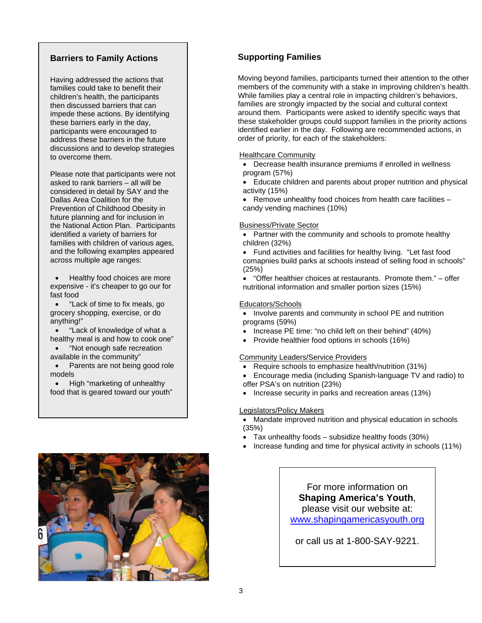## **Barriers to Family Actions**

Having addressed the actions that families could take to benefit their children's health, the participants then discussed barriers that can impede these actions. By identifying these barriers early in the day, participants were encouraged to address these barriers in the future discussions and to develop strategies to overcome them.

Please note that participants were not asked to rank barriers – all will be considered in detail by SAY and the Dallas Area Coalition for the Prevention of Childhood Obesity in future planning and for inclusion in the National Action Plan. Participants identified a variety of barriers for families with children of various ages, and the following examples appeared across multiple age ranges:

• Healthy food choices are more expensive - it's cheaper to go our for fast food

• "Lack of time to fix meals, go grocery shopping, exercise, or do anything!"

• "Lack of knowledge of what a healthy meal is and how to cook one"

• "Not enough safe recreation available in the community"

Parents are not being good role models

• High "marketing of unhealthy food that is geared toward our youth"



# **Supporting Families**

Moving beyond families, participants turned their attention to the other members of the community with a stake in improving children's health. While families play a central role in impacting children's behaviors, families are strongly impacted by the social and cultural context around them. Participants were asked to identify specific ways that these stakeholder groups could support families in the priority actions identified earlier in the day. Following are recommended actions, in order of priority, for each of the stakeholders:

#### Healthcare Community

• Decrease health insurance premiums if enrolled in wellness program (57%)

• Educate children and parents about proper nutrition and physical activity (15%)

• Remove unhealthy food choices from health care facilities – candy vending machines (10%)

## Business/Private Sector

- Partner with the community and schools to promote healthy children (32%)
- Fund activities and facilities for healthy living. "Let fast food comapnies build parks at schools instead of selling food in schools" (25%)

• "Offer healthier choices at restaurants. Promote them." – offer nutritional information and smaller portion sizes (15%)

## Educators/Schools

- Involve parents and community in school PE and nutrition programs (59%)
- Increase PE time: "no child left on their behind" (40%)
- Provide healthier food options in schools (16%)

## Community Leaders/Service Providers

- Require schools to emphasize health/nutrition (31%)
- Encourage media (including Spanish-language TV and radio) to offer PSA's on nutrition (23%)
- Increase security in parks and recreation areas (13%)

## Legislators/Policy Makers

- Mandate improved nutrition and physical education in schools (35%)
- Tax unhealthy foods subsidize healthy foods (30%)
- Increase funding and time for physical activity in schools (11%)

# For more information on **Shaping America's Youth**, please visit our website at:

[www.shapingamericasyouth.org](http://www.shapingamericasyouth.org/)

or call us at 1-800-SAY-9221.